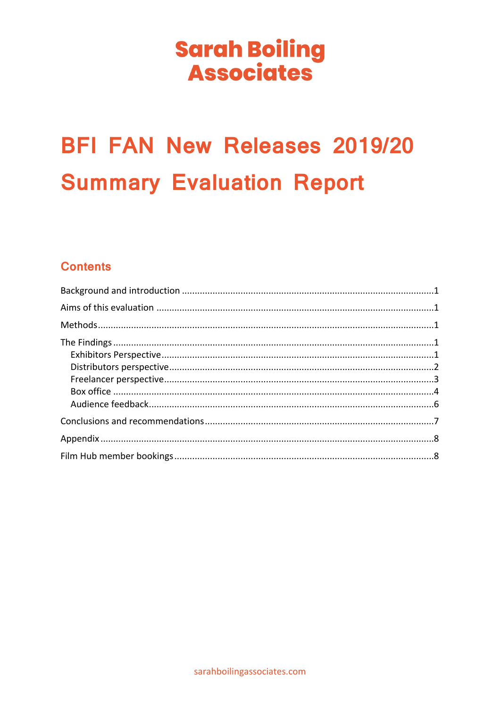## **Sarah Boiling Associates**

# **BFI FAN New Releases 2019/20 Summary Evaluation Report**

## **Contents**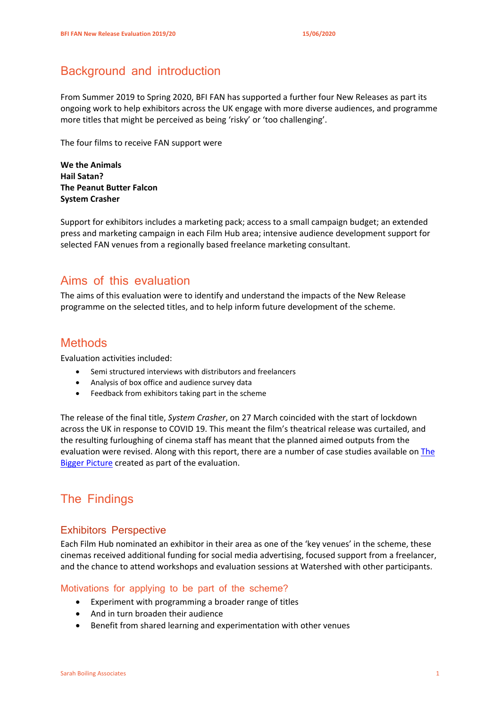## <span id="page-1-0"></span>Background and introduction

From Summer 2019 to Spring 2020, BFI FAN has supported a further four New Releases as part its ongoing work to help exhibitors across the UK engage with more diverse audiences, and programme more titles that might be perceived as being 'risky' or 'too challenging'.

The four films to receive FAN support were

**We the Animals Hail Satan? The Peanut Butter Falcon System Crasher**

Support for exhibitors includes a marketing pack; access to a small campaign budget; an extended press and marketing campaign in each Film Hub area; intensive audience development support for selected FAN venues from a regionally based freelance marketing consultant.

## <span id="page-1-1"></span>Aims of this evaluation

<span id="page-1-2"></span>The aims of this evaluation were to identify and understand the impacts of the New Release programme on the selected titles, and to help inform future development of the scheme.

## **Methods**

Evaluation activities included:

- Semi structured interviews with distributors and freelancers
- Analysis of box office and audience survey data
- Feedback from exhibitors taking part in the scheme

The release of the final title, *System Crasher*, on 27 March coincided with the start of lockdown across the UK in response to COVID 19. This meant the film's theatrical release was curtailed, and the resulting furloughing of cinema staff has meant that the planned aimed outputs from the evaluation were revised. Along with this report, there are a number of case studies available on [The](https://www.the-bigger-picture.com/)  **[Bigger Picture](https://www.the-bigger-picture.com/) created as part of the evaluation.** 

## <span id="page-1-3"></span>The Findings

#### <span id="page-1-4"></span>Exhibitors Perspective

Each Film Hub nominated an exhibitor in their area as one of the 'key venues' in the scheme, these cinemas received additional funding for social media advertising, focused support from a freelancer, and the chance to attend workshops and evaluation sessions at Watershed with other participants.

#### Motivations for applying to be part of the scheme?

- Experiment with programming a broader range of titles
- And in turn broaden their audience
- Benefit from shared learning and experimentation with other venues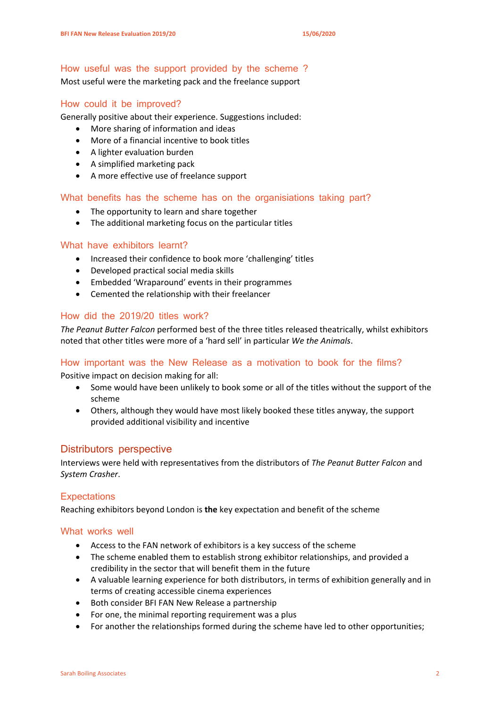#### How useful was the support provided by the scheme ?

Most useful were the marketing pack and the freelance support

#### How could it be improved?

Generally positive about their experience. Suggestions included:

- More sharing of information and ideas
- More of a financial incentive to book titles
- A lighter evaluation burden
- A simplified marketing pack
- A more effective use of freelance support

#### What benefits has the scheme has on the organisiations taking part?

- The opportunity to learn and share together
- The additional marketing focus on the particular titles

#### What have exhibitors learnt?

- Increased their confidence to book more 'challenging' titles
- Developed practical social media skills
- Embedded 'Wraparound' events in their programmes
- Cemented the relationship with their freelancer

#### How did the 2019/20 titles work?

*The Peanut Butter Falcon* performed best of the three titles released theatrically, whilst exhibitors noted that other titles were more of a 'hard sell' in particular *We the Animals*.

#### How important was the New Release as a motivation to book for the films?

Positive impact on decision making for all:

- Some would have been unlikely to book some or all of the titles without the support of the scheme
- Others, although they would have most likely booked these titles anyway, the support provided additional visibility and incentive

#### <span id="page-2-0"></span>Distributors perspective

Interviews were held with representatives from the distributors of *The Peanut Butter Falcon* and *System Crasher*.

#### **Expectations**

Reaching exhibitors beyond London is **the** key expectation and benefit of the scheme

#### What works well

- Access to the FAN network of exhibitors is a key success of the scheme
- The scheme enabled them to establish strong exhibitor relationships, and provided a credibility in the sector that will benefit them in the future
- A valuable learning experience for both distributors, in terms of exhibition generally and in terms of creating accessible cinema experiences
- Both consider BFI FAN New Release a partnership
- For one, the minimal reporting requirement was a plus
- For another the relationships formed during the scheme have led to other opportunities;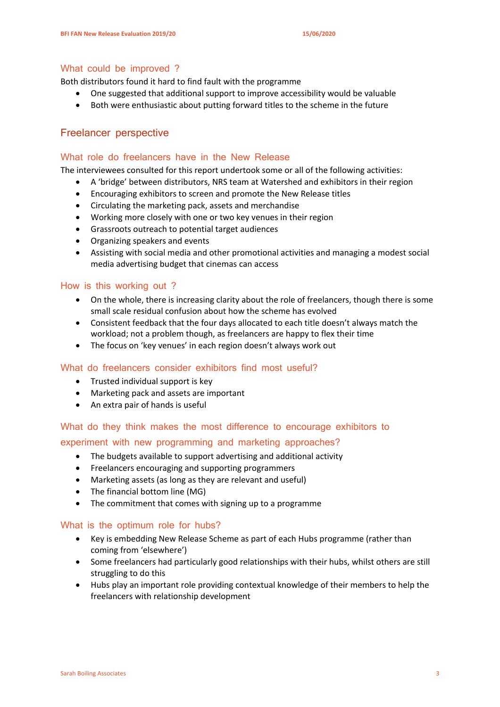#### What could be improved ?

Both distributors found it hard to find fault with the programme

- One suggested that additional support to improve accessibility would be valuable
- Both were enthusiastic about putting forward titles to the scheme in the future

#### <span id="page-3-0"></span>Freelancer perspective

#### What role do freelancers have in the New Release

The interviewees consulted for this report undertook some or all of the following activities:

- A 'bridge' between distributors, NRS team at Watershed and exhibitors in their region
- Encouraging exhibitors to screen and promote the New Release titles
- Circulating the marketing pack, assets and merchandise
- Working more closely with one or two key venues in their region
- Grassroots outreach to potential target audiences
- Organizing speakers and events
- Assisting with social media and other promotional activities and managing a modest social media advertising budget that cinemas can access

#### How is this working out ?

- On the whole, there is increasing clarity about the role of freelancers, though there is some small scale residual confusion about how the scheme has evolved
- Consistent feedback that the four days allocated to each title doesn't always match the workload; not a problem though, as freelancers are happy to flex their time
- The focus on 'key venues' in each region doesn't always work out

#### What do freelancers consider exhibitors find most useful?

- Trusted individual support is key
- Marketing pack and assets are important
- An extra pair of hands is useful

#### What do they think makes the most difference to encourage exhibitors to

#### experiment with new programming and marketing approaches?

- The budgets available to support advertising and additional activity
- Freelancers encouraging and supporting programmers
- Marketing assets (as long as they are relevant and useful)
- The financial bottom line (MG)
- The commitment that comes with signing up to a programme

#### What is the optimum role for hubs?

- Key is embedding New Release Scheme as part of each Hubs programme (rather than coming from 'elsewhere')
- Some freelancers had particularly good relationships with their hubs, whilst others are still struggling to do this
- Hubs play an important role providing contextual knowledge of their members to help the freelancers with relationship development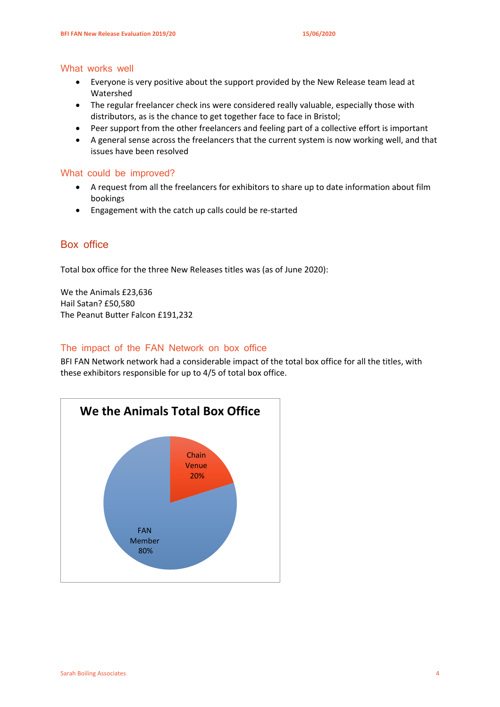#### What works well

- Everyone is very positive about the support provided by the New Release team lead at Watershed
- The regular freelancer check ins were considered really valuable, especially those with distributors, as is the chance to get together face to face in Bristol;
- Peer support from the other freelancers and feeling part of a collective effort is important
- A general sense across the freelancers that the current system is now working well, and that issues have been resolved

#### What could be improved?

- A request from all the freelancers for exhibitors to share up to date information about film bookings
- Engagement with the catch up calls could be re-started

#### <span id="page-4-0"></span>Box office

Total box office for the three New Releases titles was (as of June 2020):

We the Animals £23,636 Hail Satan? £50,580 The Peanut Butter Falcon £191,232

#### The impact of the FAN Network on box office

BFI FAN Network network had a considerable impact of the total box office for all the titles, with these exhibitors responsible for up to 4/5 of total box office.

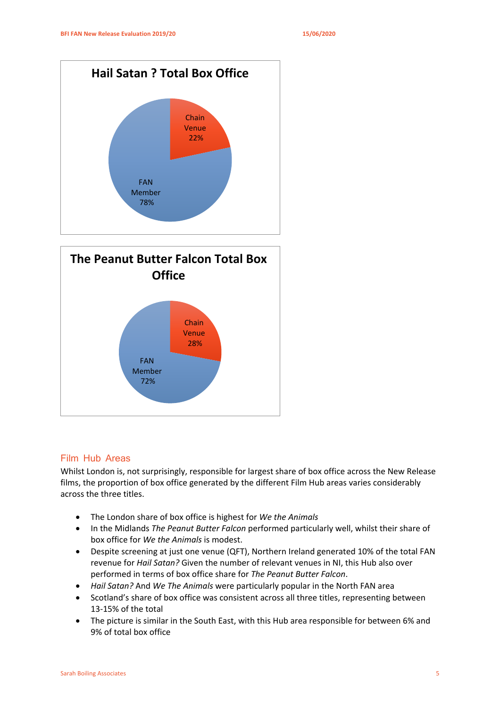



#### Film Hub Areas

Whilst London is, not surprisingly, responsible for largest share of box office across the New Release films, the proportion of box office generated by the different Film Hub areas varies considerably across the three titles.

- The London share of box office is highest for *We the Animals*
- In the Midlands *The Peanut Butter Falcon* performed particularly well, whilst their share of box office for *We the Animals* is modest.
- Despite screening at just one venue (QFT), Northern Ireland generated 10% of the total FAN revenue for *Hail Satan?* Given the number of relevant venues in NI, this Hub also over performed in terms of box office share for *The Peanut Butter Falcon*.
- *Hail Satan?* And *We The Animals* were particularly popular in the North FAN area
- Scotland's share of box office was consistent across all three titles, representing between 13-15% of the total
- The picture is similar in the South East, with this Hub area responsible for between 6% and 9% of total box office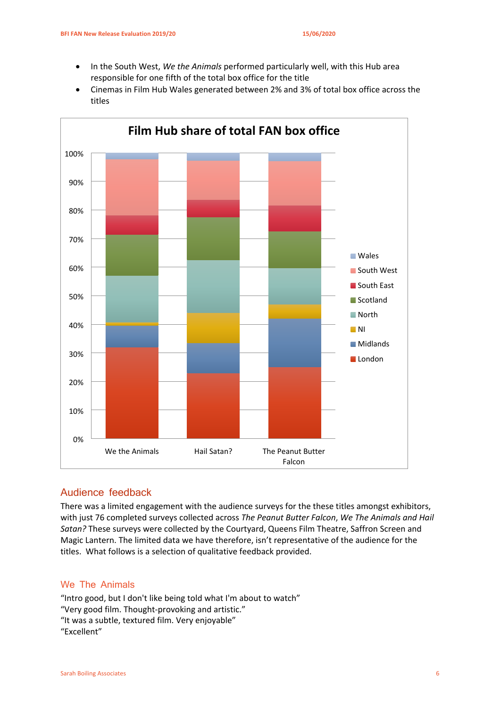- In the South West, *We the Animals* performed particularly well, with this Hub area responsible for one fifth of the total box office for the title
- Cinemas in Film Hub Wales generated between 2% and 3% of total box office across the titles



#### <span id="page-6-0"></span>Audience feedback

There was a limited engagement with the audience surveys for the these titles amongst exhibitors, with just 76 completed surveys collected across *The Peanut Butter Falcon*, *We The Animals and Hail Satan?* These surveys were collected by the Courtyard, Queens Film Theatre, Saffron Screen and Magic Lantern. The limited data we have therefore, isn't representative of the audience for the titles. What follows is a selection of qualitative feedback provided.

#### We The Animals

"Intro good, but I don't like being told what I'm about to watch" "Very good film. Thought-provoking and artistic." "It was a subtle, textured film. Very enjoyable" "Excellent"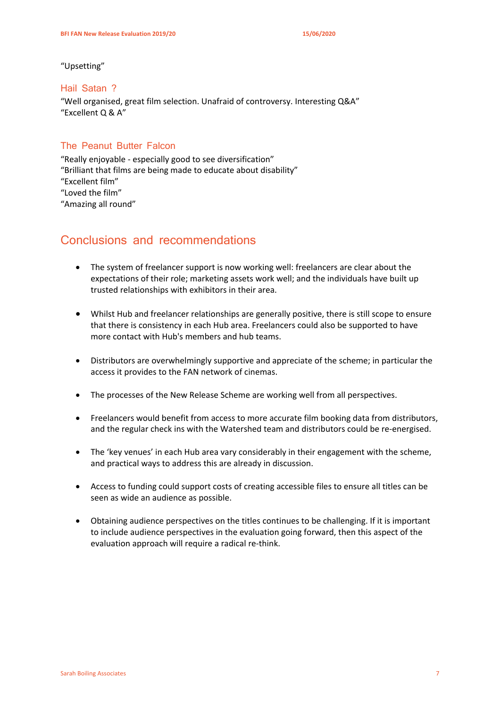"Upsetting"

#### Hail Satan ?

"Well organised, great film selection. Unafraid of controversy. Interesting Q&A" "Excellent Q & A"

#### The Peanut Butter Falcon

"Really enjoyable - especially good to see diversification" "Brilliant that films are being made to educate about disability" "Excellent film" "Loved the film" "Amazing all round"

#### <span id="page-7-0"></span>Conclusions and recommendations

- The system of freelancer support is now working well: freelancers are clear about the expectations of their role; marketing assets work well; and the individuals have built up trusted relationships with exhibitors in their area.
- Whilst Hub and freelancer relationships are generally positive, there is still scope to ensure that there is consistency in each Hub area. Freelancers could also be supported to have more contact with Hub's members and hub teams.
- Distributors are overwhelmingly supportive and appreciate of the scheme; in particular the access it provides to the FAN network of cinemas.
- The processes of the New Release Scheme are working well from all perspectives.
- Freelancers would benefit from access to more accurate film booking data from distributors, and the regular check ins with the Watershed team and distributors could be re-energised.
- The 'key venues' in each Hub area vary considerably in their engagement with the scheme, and practical ways to address this are already in discussion.
- Access to funding could support costs of creating accessible files to ensure all titles can be seen as wide an audience as possible.
- Obtaining audience perspectives on the titles continues to be challenging. If it is important to include audience perspectives in the evaluation going forward, then this aspect of the evaluation approach will require a radical re-think.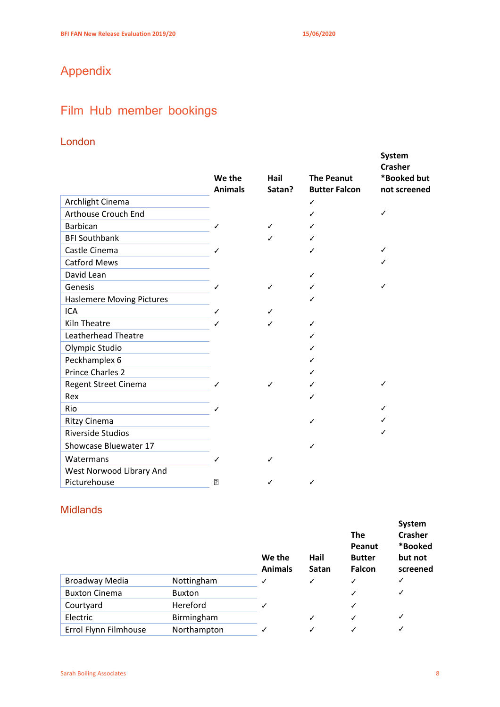## <span id="page-8-1"></span><span id="page-8-0"></span>Appendix

## Film Hub member bookings

### London

|                            | We the<br><b>Animals</b> | Hail<br>Satan? | <b>The Peanut</b><br><b>Butter Falcon</b> | System<br><b>Crasher</b><br>*Booked but<br>not screened |
|----------------------------|--------------------------|----------------|-------------------------------------------|---------------------------------------------------------|
| Archlight Cinema           |                          |                | ✓                                         |                                                         |
| Arthouse Crouch End        |                          |                | ✓                                         | ✓                                                       |
| Barbican                   | ✓                        | ✓              | ✓                                         |                                                         |
| <b>BFI Southbank</b>       |                          | ✓              | ✓                                         |                                                         |
| Castle Cinema              | ℐ                        |                | ✓                                         | ✓                                                       |
| <b>Catford Mews</b>        |                          |                |                                           | ✓                                                       |
| David Lean                 |                          |                | ✓                                         |                                                         |
| Genesis                    | ✓                        | ✓              | ✓                                         | ✓                                                       |
| Haslemere Moving Pictures  |                          |                | ✓                                         |                                                         |
| <b>ICA</b>                 | ✓                        | ✓              |                                           |                                                         |
| <b>Kiln Theatre</b>        |                          | ✓              | ✓                                         |                                                         |
| <b>Leatherhead Theatre</b> |                          |                | ✓                                         |                                                         |
| Olympic Studio             |                          |                | ✓                                         |                                                         |
| Peckhamplex 6              |                          |                | ✓                                         |                                                         |
| <b>Prince Charles 2</b>    |                          |                | ✓                                         |                                                         |
| Regent Street Cinema       | ✓                        | ✓              | ✓                                         | ✓                                                       |
| Rex                        |                          |                | ✓                                         |                                                         |
| Rio                        | ℐ                        |                |                                           | ℐ                                                       |
| Ritzy Cinema               |                          |                | ✓                                         |                                                         |
| <b>Riverside Studios</b>   |                          |                |                                           | ✓                                                       |
| Showcase Bluewater 17      |                          |                | ✓                                         |                                                         |
| Watermans                  | ✓                        | ✓              |                                           |                                                         |
| West Norwood Library And   |                          |                |                                           |                                                         |
| Picturehouse               | 2                        | ✓              | ✓                                         |                                                         |

#### **Midlands**

|                       |               | We the<br><b>Animals</b> | Hail<br>Satan | <b>The</b><br>Peanut<br><b>Butter</b><br><b>Falcon</b> | System<br><b>Crasher</b><br>*Booked<br>but not<br>screened |
|-----------------------|---------------|--------------------------|---------------|--------------------------------------------------------|------------------------------------------------------------|
| <b>Broadway Media</b> | Nottingham    | ✓                        | $\checkmark$  | ✓                                                      | ✓                                                          |
| <b>Buxton Cinema</b>  | <b>Buxton</b> |                          |               |                                                        | ✓                                                          |
| Courtyard             | Hereford      | ✓                        |               | ✓                                                      |                                                            |
| Electric              | Birmingham    |                          | $\checkmark$  | ✓                                                      | ✓                                                          |
| Errol Flynn Filmhouse | Northampton   | ✓                        | ✓             |                                                        |                                                            |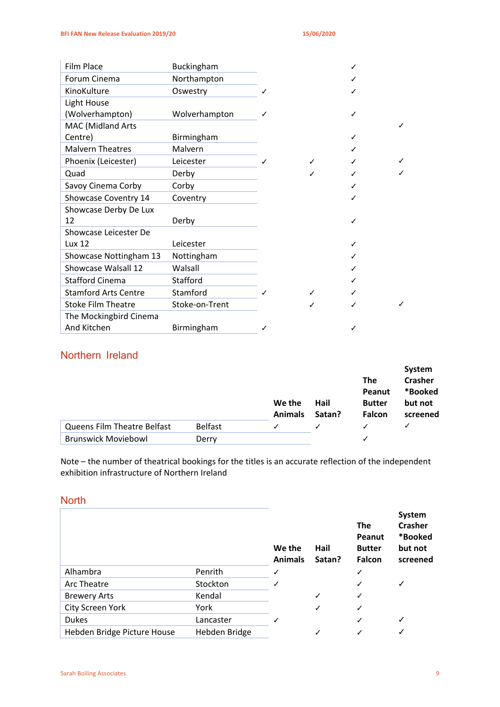| <b>Film Place</b>           | <b>Buckingham</b> |   |   | ✓ |  |
|-----------------------------|-------------------|---|---|---|--|
| Forum Cinema                | Northampton       |   |   | ✓ |  |
| KinoKulture                 | Oswestry          |   |   | ✓ |  |
| Light House                 |                   |   |   |   |  |
| (Wolverhampton)             | Wolverhampton     | ℐ |   | ✓ |  |
| MAC (Midland Arts           |                   |   |   |   |  |
| Centre)                     | Birmingham        |   |   | ✓ |  |
| <b>Malvern Theatres</b>     | Malvern           |   |   | ✓ |  |
| Phoenix (Leicester)         | Leicester         |   |   |   |  |
| Quad                        | Derby             |   |   | ✓ |  |
| Savoy Cinema Corby          | Corby             |   |   | ✓ |  |
| Showcase Coventry 14        | Coventry          |   |   | ✓ |  |
| Showcase Derby De Lux       |                   |   |   |   |  |
| 12                          | Derby             |   |   | ✓ |  |
| Showcase Leicester De       |                   |   |   |   |  |
| Lux 12                      | Leicester         |   |   | ✓ |  |
| Showcase Nottingham 13      | Nottingham        |   |   |   |  |
| Showcase Walsall 12         | Walsall           |   |   | ✓ |  |
| <b>Stafford Cinema</b>      | Stafford          |   |   | ✓ |  |
| <b>Stamford Arts Centre</b> | Stamford          |   |   | ✓ |  |
| <b>Stoke Film Theatre</b>   | Stoke-on-Trent    |   | ℐ | ✓ |  |
| The Mockingbird Cinema      |                   |   |   |   |  |
| And Kitchen                 | Birmingham        | ✓ |   | ✓ |  |

#### Northern Ireland

|                             |                | We the<br><b>Animals</b> | Hail<br>Satan? | <b>The</b><br>Peanut<br><b>Butter</b><br><b>Falcon</b> | System<br><b>Crasher</b><br>*Booked<br>but not<br>screened |
|-----------------------------|----------------|--------------------------|----------------|--------------------------------------------------------|------------------------------------------------------------|
| Queens Film Theatre Belfast | <b>Belfast</b> | ✓                        |                |                                                        |                                                            |
| <b>Brunswick Moviebowl</b>  | Derry          |                          |                |                                                        |                                                            |

Note – the number of theatrical bookings for the titles is an accurate reflection of the independent exhibition infrastructure of Northern Ireland

#### **North**

|                             |               | We the<br><b>Animals</b> | Hail<br>Satan? | <b>The</b><br>Peanut<br><b>Butter</b><br><b>Falcon</b> | System<br><b>Crasher</b><br>*Booked<br>but not<br>screened |
|-----------------------------|---------------|--------------------------|----------------|--------------------------------------------------------|------------------------------------------------------------|
| Alhambra                    | Penrith       | ✓                        |                | ✓                                                      |                                                            |
| Arc Theatre                 | Stockton      |                          |                | ✓                                                      | ✓                                                          |
| <b>Brewery Arts</b>         | Kendal        |                          | ✓              | ✓                                                      |                                                            |
| City Screen York            | York          |                          | ✓              | ✓                                                      |                                                            |
| <b>Dukes</b>                | Lancaster     |                          |                | ✓                                                      | ✓                                                          |
| Hebden Bridge Picture House | Hebden Bridge |                          |                | ✓                                                      | ✓                                                          |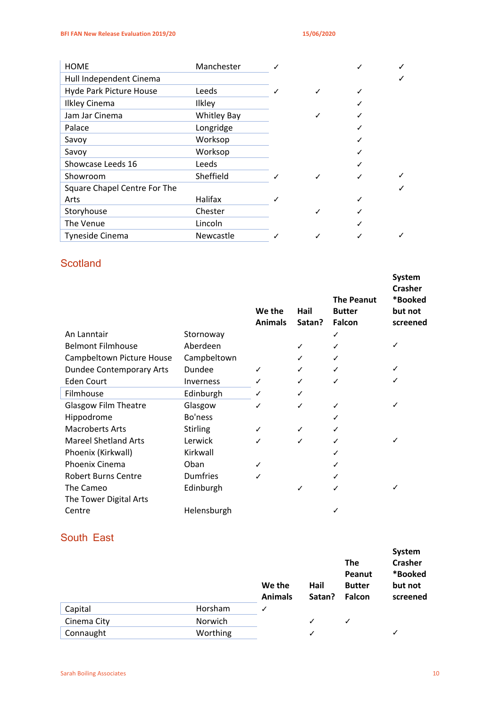| <b>HOME</b>                         | Manchester         |  |  |
|-------------------------------------|--------------------|--|--|
| Hull Independent Cinema             |                    |  |  |
| Hyde Park Picture House             | Leeds              |  |  |
| <b>Ilkley Cinema</b>                | Ilkley             |  |  |
| Jam Jar Cinema                      | <b>Whitley Bay</b> |  |  |
| Palace                              | Longridge          |  |  |
| Savoy                               | Worksop            |  |  |
| Savoy                               | Worksop            |  |  |
| Showcase Leeds 16                   | Leeds              |  |  |
| Showroom                            | Sheffield          |  |  |
| <b>Square Chapel Centre For The</b> |                    |  |  |
| Arts                                | Halifax            |  |  |
| Storyhouse                          | Chester            |  |  |
| The Venue                           | Lincoln            |  |  |
| Tyneside Cinema                     | <b>Newcastle</b>   |  |  |

#### **Scotland**

|                                 |                  | We the<br><b>Animals</b> | Hail<br>Satan? | <b>The Peanut</b><br><b>Butter</b><br>Falcon | System<br><b>Crasher</b><br>*Booked<br>but not<br>screened |
|---------------------------------|------------------|--------------------------|----------------|----------------------------------------------|------------------------------------------------------------|
| An Lanntair                     | Stornoway        |                          |                | ✓                                            |                                                            |
| <b>Belmont Filmhouse</b>        | Aberdeen         |                          | ✓              | ✓                                            | ✓                                                          |
| Campbeltown Picture House       | Campbeltown      |                          | ✓              | ✓                                            |                                                            |
| <b>Dundee Contemporary Arts</b> | Dundee           | ✓                        | ✓              | ✓                                            |                                                            |
| Eden Court                      | <b>Inverness</b> | ✓                        | ✓              |                                              |                                                            |
| Filmhouse                       | Edinburgh        | ✓                        | ✓              |                                              |                                                            |
| <b>Glasgow Film Theatre</b>     | Glasgow          | ✓                        | ✓              | ✓                                            | ✓                                                          |
| Hippodrome                      | Bo'ness          |                          |                |                                              |                                                            |
| <b>Macroberts Arts</b>          | <b>Stirling</b>  | ✓                        | ✓              |                                              |                                                            |
| <b>Mareel Shetland Arts</b>     | Lerwick          |                          | ✓              |                                              | ✓                                                          |
| Phoenix (Kirkwall)              | Kirkwall         |                          |                |                                              |                                                            |
| Phoenix Cinema                  | Oban             | ✓                        |                |                                              |                                                            |
| <b>Robert Burns Centre</b>      | <b>Dumfries</b>  | ✓                        |                |                                              |                                                            |
| The Cameo                       | Edinburgh        |                          | ✓              |                                              |                                                            |
| The Tower Digital Arts          |                  |                          |                |                                              |                                                            |
| Centre                          | Helensburgh      |                          |                |                                              |                                                            |

#### South East

|             |          | We the<br><b>Animals</b> | Hail<br>Satan? | <b>The</b><br>Peanut<br><b>Butter</b><br>Falcon | System<br><b>Crasher</b><br>*Booked<br>but not<br>screened |
|-------------|----------|--------------------------|----------------|-------------------------------------------------|------------------------------------------------------------|
| Capital     | Horsham  | ✓                        |                |                                                 |                                                            |
| Cinema City | Norwich  |                          | ✓              | ✓                                               |                                                            |
| Connaught   | Worthing |                          |                |                                                 | ✓                                                          |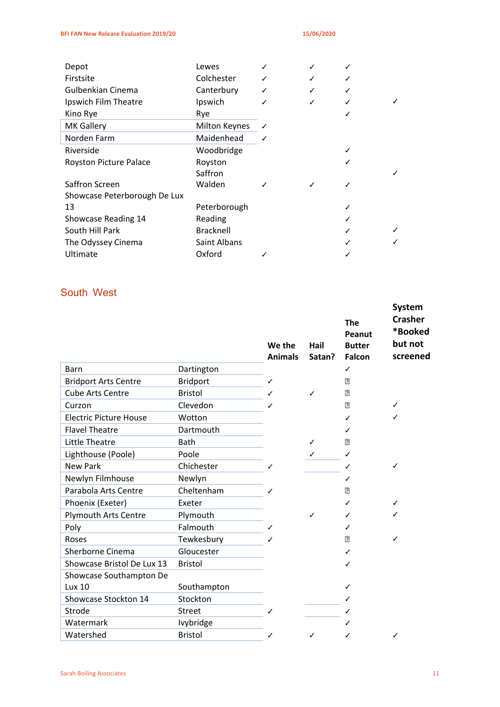| Depot                        | Lewes                |   |   | ✓ |   |
|------------------------------|----------------------|---|---|---|---|
| Firstsite                    | Colchester           | ✓ | ✓ | ✓ |   |
| Gulbenkian Cinema            | Canterbury           |   | ✓ | ✓ |   |
| Ipswich Film Theatre         | Ipswich              |   | ✓ | ✓ |   |
| Kino Rye                     | Rye                  |   |   |   |   |
| <b>MK Gallery</b>            | <b>Milton Keynes</b> | ✓ |   |   |   |
| Norden Farm                  | Maidenhead           | ✓ |   |   |   |
| Riverside                    | Woodbridge           |   |   | ✓ |   |
| Royston Picture Palace       | Royston              |   |   | ✓ |   |
|                              | Saffron              |   |   |   |   |
| Saffron Screen               | Walden               |   | ✓ | ✓ |   |
| Showcase Peterborough De Lux |                      |   |   |   |   |
| 13                           | Peterborough         |   |   | ✓ |   |
| Showcase Reading 14          | Reading              |   |   | ✓ |   |
| South Hill Park              | <b>Bracknell</b>     |   |   |   | ✓ |
| The Odyssey Cinema           | Saint Albans         |   |   |   |   |
| Ultimate                     | Oxford               |   |   |   |   |

## South West

|                               |                 | We the<br><b>Animals</b> | Hail<br>Satan? | <b>The</b><br>Peanut<br><b>Butter</b><br><b>Falcon</b> | <b>System</b><br><b>Crasher</b><br>*Booked<br>but not<br>screened |
|-------------------------------|-----------------|--------------------------|----------------|--------------------------------------------------------|-------------------------------------------------------------------|
| Barn                          | Dartington      |                          |                | ✓                                                      |                                                                   |
| <b>Bridport Arts Centre</b>   | <b>Bridport</b> | ✓                        |                | 卪                                                      |                                                                   |
| <b>Cube Arts Centre</b>       | <b>Bristol</b>  | ✓                        | ✓              | 卪                                                      |                                                                   |
| Curzon                        | Clevedon        | ╱                        |                | 卪                                                      | ✓                                                                 |
| <b>Electric Picture House</b> | Wotton          |                          |                | ✓                                                      | ✓                                                                 |
| <b>Flavel Theatre</b>         | Dartmouth       |                          |                | ✓                                                      |                                                                   |
| <b>Little Theatre</b>         | Bath            |                          | ✓              | 卪                                                      |                                                                   |
| Lighthouse (Poole)            | Poole           |                          | ✓              | ✓                                                      |                                                                   |
| <b>New Park</b>               | Chichester      |                          |                | ✓                                                      | ✓                                                                 |
| Newlyn Filmhouse              | Newlyn          |                          |                | ✓                                                      |                                                                   |
| Parabola Arts Centre          | Cheltenham      | ╱                        |                | 卪                                                      |                                                                   |
| Phoenix (Exeter)              | Exeter          |                          |                | ✓                                                      | ✓                                                                 |
| <b>Plymouth Arts Centre</b>   | Plymouth        |                          | ✓              | ✓                                                      | ✓                                                                 |
| Poly                          | Falmouth        | ✓                        |                | ✓                                                      |                                                                   |
| Roses                         | Tewkesbury      |                          |                | 卪                                                      | ✓                                                                 |
| Sherborne Cinema              | Gloucester      |                          |                | ✓                                                      |                                                                   |
| Showcase Bristol De Lux 13    | <b>Bristol</b>  |                          |                | ✓                                                      |                                                                   |
| Showcase Southampton De       |                 |                          |                |                                                        |                                                                   |
| Lux 10                        | Southampton     |                          |                | ✓                                                      |                                                                   |
| Showcase Stockton 14          | Stockton        |                          |                |                                                        |                                                                   |
| Strode                        | <b>Street</b>   | ✓                        |                | ℐ                                                      |                                                                   |
| Watermark                     | Ivybridge       |                          |                |                                                        |                                                                   |
| Watershed                     | <b>Bristol</b>  | ✓                        | ✓              | ✓                                                      | ✓                                                                 |